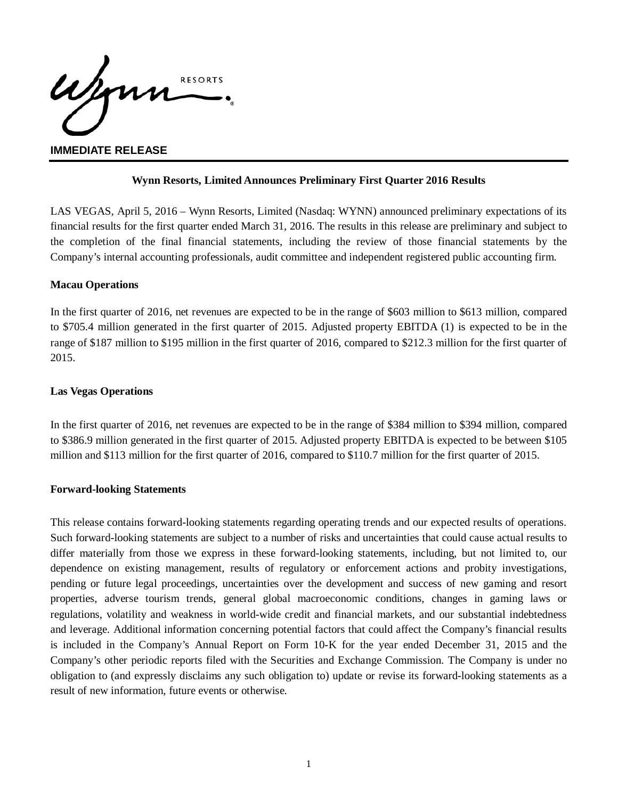Wynn **RESORTS** 

## **IMMEDIATE RELEASE**

#### **Wynn Resorts, Limited Announces Preliminary First Quarter 2016 Results**

LAS VEGAS, April 5, 2016 – Wynn Resorts, Limited (Nasdaq: WYNN) announced preliminary expectations of its financial results for the first quarter ended March 31, 2016. The results in this release are preliminary and subject to the completion of the final financial statements, including the review of those financial statements by the Company's internal accounting professionals, audit committee and independent registered public accounting firm.

### **Macau Operations**

In the first quarter of 2016, net revenues are expected to be in the range of \$603 million to \$613 million, compared to \$705.4 million generated in the first quarter of 2015. Adjusted property EBITDA (1) is expected to be in the range of \$187 million to \$195 million in the first quarter of 2016, compared to \$212.3 million for the first quarter of 2015.

### **Las Vegas Operations**

In the first quarter of 2016, net revenues are expected to be in the range of \$384 million to \$394 million, compared to \$386.9 million generated in the first quarter of 2015. Adjusted property EBITDA is expected to be between \$105 million and \$113 million for the first quarter of 2016, compared to \$110.7 million for the first quarter of 2015.

### **Forward-looking Statements**

This release contains forward-looking statements regarding operating trends and our expected results of operations. Such forward-looking statements are subject to a number of risks and uncertainties that could cause actual results to differ materially from those we express in these forward-looking statements, including, but not limited to, our dependence on existing management, results of regulatory or enforcement actions and probity investigations, pending or future legal proceedings, uncertainties over the development and success of new gaming and resort properties, adverse tourism trends, general global macroeconomic conditions, changes in gaming laws or regulations, volatility and weakness in world-wide credit and financial markets, and our substantial indebtedness and leverage. Additional information concerning potential factors that could affect the Company's financial results is included in the Company's Annual Report on Form 10-K for the year ended December 31, 2015 and the Company's other periodic reports filed with the Securities and Exchange Commission. The Company is under no obligation to (and expressly disclaims any such obligation to) update or revise its forward-looking statements as a result of new information, future events or otherwise.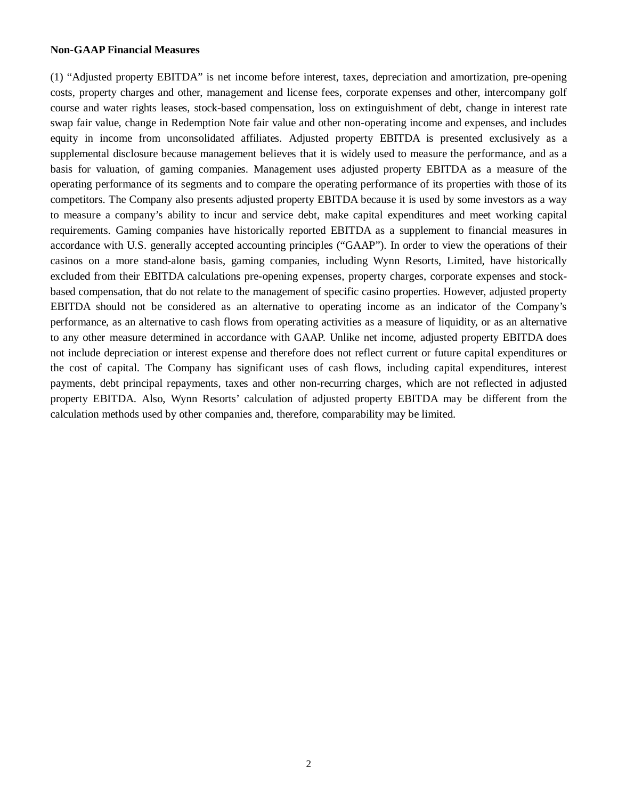### **Non-GAAP Financial Measures**

(1) "Adjusted property EBITDA" is net income before interest, taxes, depreciation and amortization, pre-opening costs, property charges and other, management and license fees, corporate expenses and other, intercompany golf course and water rights leases, stock-based compensation, loss on extinguishment of debt, change in interest rate swap fair value, change in Redemption Note fair value and other non-operating income and expenses, and includes equity in income from unconsolidated affiliates. Adjusted property EBITDA is presented exclusively as a supplemental disclosure because management believes that it is widely used to measure the performance, and as a basis for valuation, of gaming companies. Management uses adjusted property EBITDA as a measure of the operating performance of its segments and to compare the operating performance of its properties with those of its competitors. The Company also presents adjusted property EBITDA because it is used by some investors as a way to measure a company's ability to incur and service debt, make capital expenditures and meet working capital requirements. Gaming companies have historically reported EBITDA as a supplement to financial measures in accordance with U.S. generally accepted accounting principles ("GAAP"). In order to view the operations of their casinos on a more stand-alone basis, gaming companies, including Wynn Resorts, Limited, have historically excluded from their EBITDA calculations pre-opening expenses, property charges, corporate expenses and stockbased compensation, that do not relate to the management of specific casino properties. However, adjusted property EBITDA should not be considered as an alternative to operating income as an indicator of the Company's performance, as an alternative to cash flows from operating activities as a measure of liquidity, or as an alternative to any other measure determined in accordance with GAAP. Unlike net income, adjusted property EBITDA does not include depreciation or interest expense and therefore does not reflect current or future capital expenditures or the cost of capital. The Company has significant uses of cash flows, including capital expenditures, interest payments, debt principal repayments, taxes and other non-recurring charges, which are not reflected in adjusted property EBITDA. Also, Wynn Resorts' calculation of adjusted property EBITDA may be different from the calculation methods used by other companies and, therefore, comparability may be limited.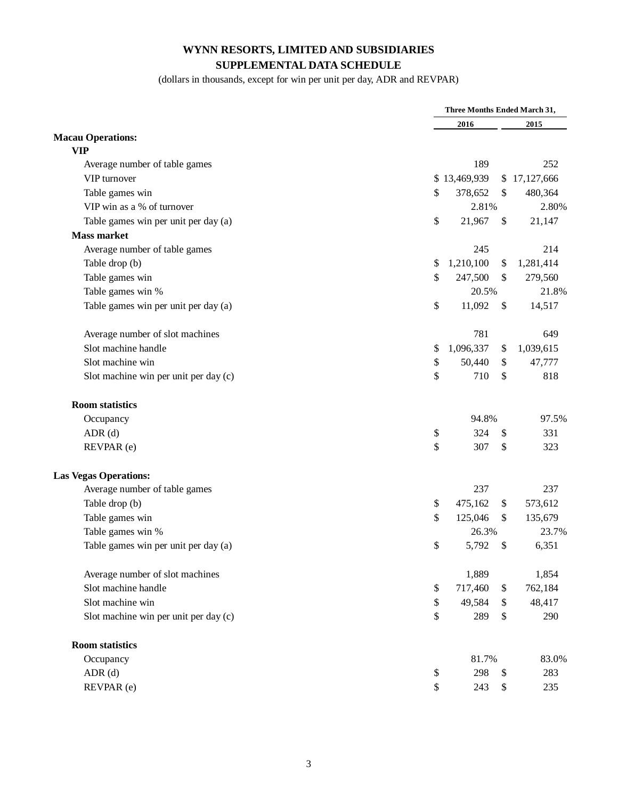# **WYNN RESORTS, LIMITED AND SUBSIDIARIES SUPPLEMENTAL DATA SCHEDULE**

(dollars in thousands, except for win per unit per day, ADR and REVPAR)

|                                       |      | Three Months Ended March 31, |    |            |
|---------------------------------------|------|------------------------------|----|------------|
|                                       |      | 2016                         |    | 2015       |
| <b>Macau Operations:</b>              |      |                              |    |            |
| <b>VIP</b>                            |      |                              |    |            |
| Average number of table games         |      | 189                          |    | 252        |
| VIP turnover                          |      | \$13,469,939                 | \$ | 17,127,666 |
| Table games win                       | \$   | 378,652                      | \$ | 480,364    |
| VIP win as a % of turnover            |      | 2.81%                        |    | 2.80%      |
| Table games win per unit per day (a)  | \$   | 21,967                       | \$ | 21,147     |
| <b>Mass market</b>                    |      |                              |    |            |
| Average number of table games         |      | 245                          |    | 214        |
| Table drop (b)                        | \$   | 1,210,100                    | \$ | 1,281,414  |
| Table games win                       | \$   | 247,500                      | \$ | 279,560    |
| Table games win %                     |      | 20.5%                        |    | 21.8%      |
| Table games win per unit per day (a)  | \$   | 11,092                       | \$ | 14,517     |
| Average number of slot machines       |      | 781                          |    | 649        |
| Slot machine handle                   | \$   | 1,096,337                    | \$ | 1,039,615  |
| Slot machine win                      | \$   | 50,440                       | \$ | 47,777     |
| Slot machine win per unit per day (c) | \$   | 710                          | \$ | 818        |
| <b>Room statistics</b>                |      |                              |    |            |
| Occupancy                             |      | 94.8%                        |    | 97.5%      |
| $ADR$ $(d)$                           | \$   | 324                          | \$ | 331        |
| REVPAR (e)                            | \$   | 307                          | \$ | 323        |
| <b>Las Vegas Operations:</b>          |      |                              |    |            |
| Average number of table games         |      | 237                          |    | 237        |
| Table drop (b)                        | $\$$ | 475,162                      | \$ | 573,612    |
| Table games win                       | \$   | 125,046                      | \$ | 135,679    |
| Table games win %                     |      | 26.3%                        |    | 23.7%      |
| Table games win per unit per day (a)  | \$   | 5,792                        | \$ | 6,351      |
| Average number of slot machines       |      | 1,889                        |    | 1,854      |
| Slot machine handle                   | \$   | 717,460                      | \$ | 762,184    |
| Slot machine win                      | \$   | 49,584                       | \$ | 48,417     |
| Slot machine win per unit per day (c) | \$   | 289                          | \$ | 290        |
| <b>Room statistics</b>                |      |                              |    |            |
| Occupancy                             |      | 81.7%                        |    | 83.0%      |
| $ADR$ $(d)$                           | $\$$ | 298                          | \$ | 283        |
| REVPAR (e)                            | \$   | 243                          | \$ | 235        |